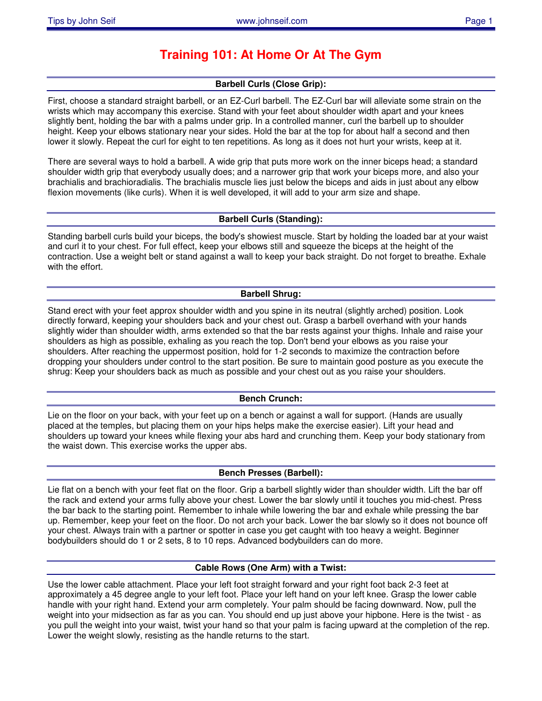# **Training 101: At Home Or At The Gym**

# **Barbell Curls (Close Grip):**

First, choose a standard straight barbell, or an EZ-Curl barbell. The EZ-Curl bar will alleviate some strain on the wrists which may accompany this exercise. Stand with your feet about shoulder width apart and your knees slightly bent, holding the bar with a palms under grip. In a controlled manner, curl the barbell up to shoulder height. Keep your elbows stationary near your sides. Hold the bar at the top for about half a second and then lower it slowly. Repeat the curl for eight to ten repetitions. As long as it does not hurt your wrists, keep at it.

There are several ways to hold a barbell. A wide grip that puts more work on the inner biceps head; a standard shoulder width grip that everybody usually does; and a narrower grip that work your biceps more, and also your brachialis and brachioradialis. The brachialis muscle lies just below the biceps and aids in just about any elbow flexion movements (like curls). When it is well developed, it will add to your arm size and shape.

# **Barbell Curls (Standing):**

Standing barbell curls build your biceps, the body's showiest muscle. Start by holding the loaded bar at your waist and curl it to your chest. For full effect, keep your elbows still and squeeze the biceps at the height of the contraction. Use a weight belt or stand against a wall to keep your back straight. Do not forget to breathe. Exhale with the effort.

# **Barbell Shrug:**

Stand erect with your feet approx shoulder width and you spine in its neutral (slightly arched) position. Look directly forward, keeping your shoulders back and your chest out. Grasp a barbell overhand with your hands slightly wider than shoulder width, arms extended so that the bar rests against your thighs. Inhale and raise your shoulders as high as possible, exhaling as you reach the top. Don't bend your elbows as you raise your shoulders. After reaching the uppermost position, hold for 1-2 seconds to maximize the contraction before dropping your shoulders under control to the start position. Be sure to maintain good posture as you execute the shrug: Keep your shoulders back as much as possible and your chest out as you raise your shoulders.

# **Bench Crunch:**

Lie on the floor on your back, with your feet up on a bench or against a wall for support. (Hands are usually placed at the temples, but placing them on your hips helps make the exercise easier). Lift your head and shoulders up toward your knees while flexing your abs hard and crunching them. Keep your body stationary from the waist down. This exercise works the upper abs.

# **Bench Presses (Barbell):**

Lie flat on a bench with your feet flat on the floor. Grip a barbell slightly wider than shoulder width. Lift the bar off the rack and extend your arms fully above your chest. Lower the bar slowly until it touches you mid-chest. Press the bar back to the starting point. Remember to inhale while lowering the bar and exhale while pressing the bar up. Remember, keep your feet on the floor. Do not arch your back. Lower the bar slowly so it does not bounce off your chest. Always train with a partner or spotter in case you get caught with too heavy a weight. Beginner bodybuilders should do 1 or 2 sets, 8 to 10 reps. Advanced bodybuilders can do more.

# **Cable Rows (One Arm) with a Twist:**

Use the lower cable attachment. Place your left foot straight forward and your right foot back 2-3 feet at approximately a 45 degree angle to your left foot. Place your left hand on your left knee. Grasp the lower cable handle with your right hand. Extend your arm completely. Your palm should be facing downward. Now, pull the weight into your midsection as far as you can. You should end up just above your hipbone. Here is the twist - as you pull the weight into your waist, twist your hand so that your palm is facing upward at the completion of the rep. Lower the weight slowly, resisting as the handle returns to the start.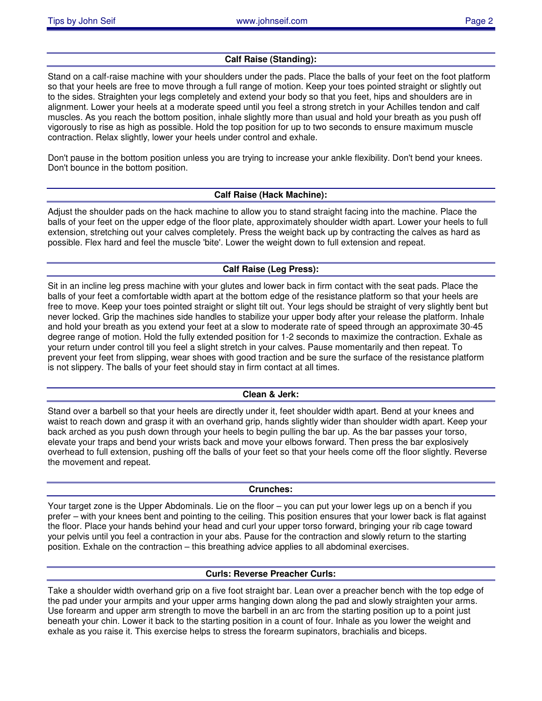# **Calf Raise (Standing):**

Stand on a calf-raise machine with your shoulders under the pads. Place the balls of your feet on the foot platform so that your heels are free to move through a full range of motion. Keep your toes pointed straight or slightly out to the sides. Straighten your legs completely and extend your body so that you feet, hips and shoulders are in alignment. Lower your heels at a moderate speed until you feel a strong stretch in your Achilles tendon and calf muscles. As you reach the bottom position, inhale slightly more than usual and hold your breath as you push off vigorously to rise as high as possible. Hold the top position for up to two seconds to ensure maximum muscle contraction. Relax slightly, lower your heels under control and exhale.

Don't pause in the bottom position unless you are trying to increase your ankle flexibility. Don't bend your knees. Don't bounce in the bottom position.

### **Calf Raise (Hack Machine):**

Adjust the shoulder pads on the hack machine to allow you to stand straight facing into the machine. Place the balls of your feet on the upper edge of the floor plate, approximately shoulder width apart. Lower your heels to full extension, stretching out your calves completely. Press the weight back up by contracting the calves as hard as possible. Flex hard and feel the muscle 'bite'. Lower the weight down to full extension and repeat.

# **Calf Raise (Leg Press):**

Sit in an incline leg press machine with your glutes and lower back in firm contact with the seat pads. Place the balls of your feet a comfortable width apart at the bottom edge of the resistance platform so that your heels are free to move. Keep your toes pointed straight or slight tilt out. Your legs should be straight of very slightly bent but never locked. Grip the machines side handles to stabilize your upper body after your release the platform. Inhale and hold your breath as you extend your feet at a slow to moderate rate of speed through an approximate 30-45 degree range of motion. Hold the fully extended position for 1-2 seconds to maximize the contraction. Exhale as your return under control till you feel a slight stretch in your calves. Pause momentarily and then repeat. To prevent your feet from slipping, wear shoes with good traction and be sure the surface of the resistance platform is not slippery. The balls of your feet should stay in firm contact at all times.

#### **Clean & Jerk:**

Stand over a barbell so that your heels are directly under it, feet shoulder width apart. Bend at your knees and waist to reach down and grasp it with an overhand grip, hands slightly wider than shoulder width apart. Keep your back arched as you push down through your heels to begin pulling the bar up. As the bar passes your torso, elevate your traps and bend your wrists back and move your elbows forward. Then press the bar explosively overhead to full extension, pushing off the balls of your feet so that your heels come off the floor slightly. Reverse the movement and repeat.

#### **Crunches:**

Your target zone is the Upper Abdominals. Lie on the floor – you can put your lower legs up on a bench if you prefer – with your knees bent and pointing to the ceiling. This position ensures that your lower back is flat against the floor. Place your hands behind your head and curl your upper torso forward, bringing your rib cage toward your pelvis until you feel a contraction in your abs. Pause for the contraction and slowly return to the starting position. Exhale on the contraction – this breathing advice applies to all abdominal exercises.

#### **Curls: Reverse Preacher Curls:**

Take a shoulder width overhand grip on a five foot straight bar. Lean over a preacher bench with the top edge of the pad under your armpits and your upper arms hanging down along the pad and slowly straighten your arms. Use forearm and upper arm strength to move the barbell in an arc from the starting position up to a point just beneath your chin. Lower it back to the starting position in a count of four. Inhale as you lower the weight and exhale as you raise it. This exercise helps to stress the forearm supinators, brachialis and biceps.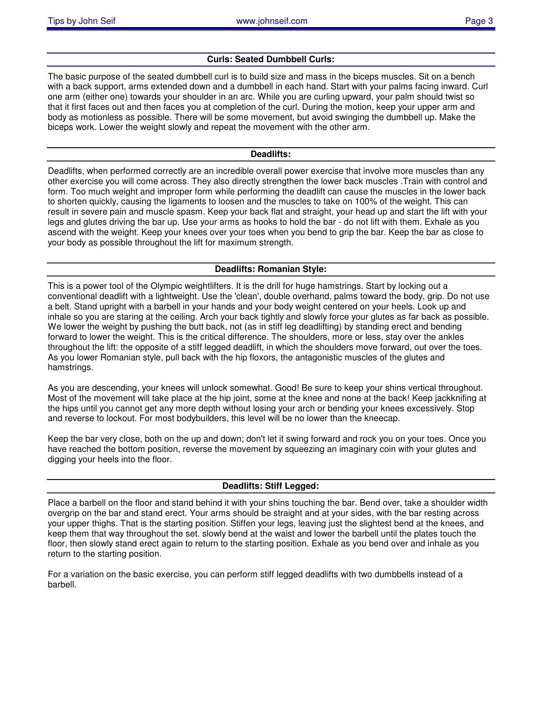### **Curls: Seated Dumbbell Curls:**

The basic purpose of the seated dumbbell curl is to build size and mass in the biceps muscles. Sit on a bench with a back support, arms extended down and a dumbbell in each hand. Start with your palms facing inward. Curl one arm (either one) towards your shoulder in an arc. While you are curling upward, your palm should twist so that it first faces out and then faces you at completion of the curl. During the motion, keep your upper arm and body as motionless as possible. There will be some movement, but avoid swinging the dumbbell up. Make the biceps work. Lower the weight slowly and repeat the movement with the other arm.

#### **Deadlifts:**

Deadlifts, when performed correctly are an incredible overall power exercise that involve more muscles than any other exercise you will come across. They also directly strengthen the lower back muscles .Train with control and form. Too much weight and improper form while performing the deadlift can cause the muscles in the lower back to shorten quickly, causing the ligaments to loosen and the muscles to take on 100% of the weight. This can result in severe pain and muscle spasm. Keep your back flat and straight, your head up and start the lift with your legs and glutes driving the bar up. Use your arms as hooks to hold the bar - do not lift with them. Exhale as you ascend with the weight. Keep your knees over your toes when you bend to grip the bar. Keep the bar as close to your body as possible throughout the lift for maximum strength.

### **Deadlifts: Romanian Style:**

This is a power tool of the Olympic weightlifters. It is the drill for huge hamstrings. Start by locking out a conventional deadlift with a lightweight. Use the 'clean', double overhand, palms toward the body, grip. Do not use a belt. Stand upright with a barbell in your hands and your body weight centered on your heels. Look up and inhale so you are staring at the ceiling. Arch your back tightly and slowly force your glutes as far back as possible. We lower the weight by pushing the butt back, not (as in stiff leg deadlifting) by standing erect and bending forward to lower the weight. This is the critical difference. The shoulders, more or less, stay over the ankles throughout the lift: the opposite of a stiff legged deadlift, in which the shoulders move forward, out over the toes. As you lower Romanian style, pull back with the hip floxors, the antagonistic muscles of the glutes and hamstrings.

As you are descending, your knees will unlock somewhat. Good! Be sure to keep your shins vertical throughout. Most of the movement will take place at the hip joint, some at the knee and none at the back! Keep jackknifing at the hips until you cannot get any more depth without losing your arch or bending your knees excessively. Stop and reverse to lockout. For most bodybuilders, this level will be no lower than the kneecap.

Keep the bar very close, both on the up and down; don't let it swing forward and rock you on your toes. Once you have reached the bottom position, reverse the movement by squeezing an imaginary coin with your glutes and digging your heels into the floor.

#### **Deadlifts: Stiff Legged:**

Place a barbell on the floor and stand behind it with your shins touching the bar. Bend over, take a shoulder width overgrip on the bar and stand erect. Your arms should be straight and at your sides, with the bar resting across your upper thighs. That is the starting position. Stiffen your legs, leaving just the slightest bend at the knees, and keep them that way throughout the set. slowly bend at the waist and lower the barbell until the plates touch the floor, then slowly stand erect again to return to the starting position. Exhale as you bend over and inhale as you return to the starting position.

For a variation on the basic exercise, you can perform stiff legged deadlifts with two dumbbells instead of a barbell.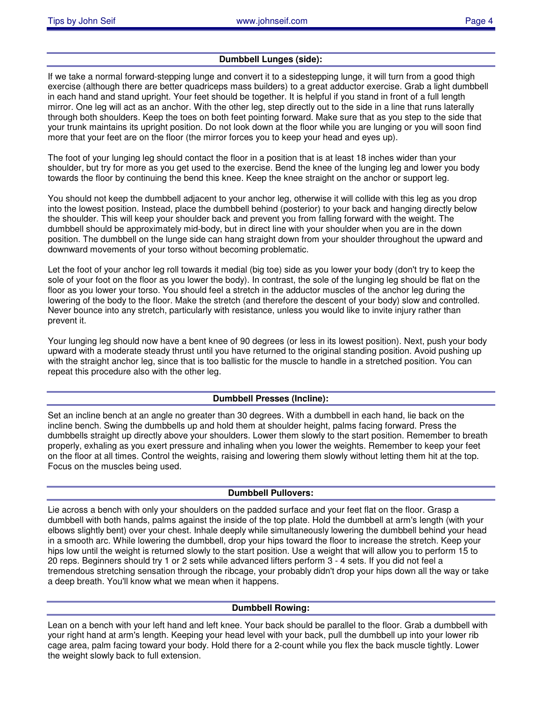# **Dumbbell Lunges (side):**

If we take a normal forward-stepping lunge and convert it to a sidestepping lunge, it will turn from a good thigh exercise (although there are better quadriceps mass builders) to a great adductor exercise. Grab a light dumbbell in each hand and stand upright. Your feet should be together. It is helpful if you stand in front of a full length mirror. One leg will act as an anchor. With the other leg, step directly out to the side in a line that runs laterally through both shoulders. Keep the toes on both feet pointing forward. Make sure that as you step to the side that your trunk maintains its upright position. Do not look down at the floor while you are lunging or you will soon find more that your feet are on the floor (the mirror forces you to keep your head and eyes up).

The foot of your lunging leg should contact the floor in a position that is at least 18 inches wider than your shoulder, but try for more as you get used to the exercise. Bend the knee of the lunging leg and lower you body towards the floor by continuing the bend this knee. Keep the knee straight on the anchor or support leg.

You should not keep the dumbbell adjacent to your anchor leg, otherwise it will collide with this leg as you drop into the lowest position. Instead, place the dumbbell behind (posterior) to your back and hanging directly below the shoulder. This will keep your shoulder back and prevent you from falling forward with the weight. The dumbbell should be approximately mid-body, but in direct line with your shoulder when you are in the down position. The dumbbell on the lunge side can hang straight down from your shoulder throughout the upward and downward movements of your torso without becoming problematic.

Let the foot of your anchor leg roll towards it medial (big toe) side as you lower your body (don't try to keep the sole of your foot on the floor as you lower the body). In contrast, the sole of the lunging leg should be flat on the floor as you lower your torso. You should feel a stretch in the adductor muscles of the anchor leg during the lowering of the body to the floor. Make the stretch (and therefore the descent of your body) slow and controlled. Never bounce into any stretch, particularly with resistance, unless you would like to invite injury rather than prevent it.

Your lunging leg should now have a bent knee of 90 degrees (or less in its lowest position). Next, push your body upward with a moderate steady thrust until you have returned to the original standing position. Avoid pushing up with the straight anchor leg, since that is too ballistic for the muscle to handle in a stretched position. You can repeat this procedure also with the other leg.

# **Dumbbell Presses (Incline):**

Set an incline bench at an angle no greater than 30 degrees. With a dumbbell in each hand, lie back on the incline bench. Swing the dumbbells up and hold them at shoulder height, palms facing forward. Press the dumbbells straight up directly above your shoulders. Lower them slowly to the start position. Remember to breath properly, exhaling as you exert pressure and inhaling when you lower the weights. Remember to keep your feet on the floor at all times. Control the weights, raising and lowering them slowly without letting them hit at the top. Focus on the muscles being used.

#### **Dumbbell Pullovers:**

Lie across a bench with only your shoulders on the padded surface and your feet flat on the floor. Grasp a dumbbell with both hands, palms against the inside of the top plate. Hold the dumbbell at arm's length (with your elbows slightly bent) over your chest. Inhale deeply while simultaneously lowering the dumbbell behind your head in a smooth arc. While lowering the dumbbell, drop your hips toward the floor to increase the stretch. Keep your hips low until the weight is returned slowly to the start position. Use a weight that will allow you to perform 15 to 20 reps. Beginners should try 1 or 2 sets while advanced lifters perform 3 - 4 sets. If you did not feel a tremendous stretching sensation through the ribcage, your probably didn't drop your hips down all the way or take a deep breath. You'll know what we mean when it happens.

# **Dumbbell Rowing:**

Lean on a bench with your left hand and left knee. Your back should be parallel to the floor. Grab a dumbbell with your right hand at arm's length. Keeping your head level with your back, pull the dumbbell up into your lower rib cage area, palm facing toward your body. Hold there for a 2-count while you flex the back muscle tightly. Lower the weight slowly back to full extension.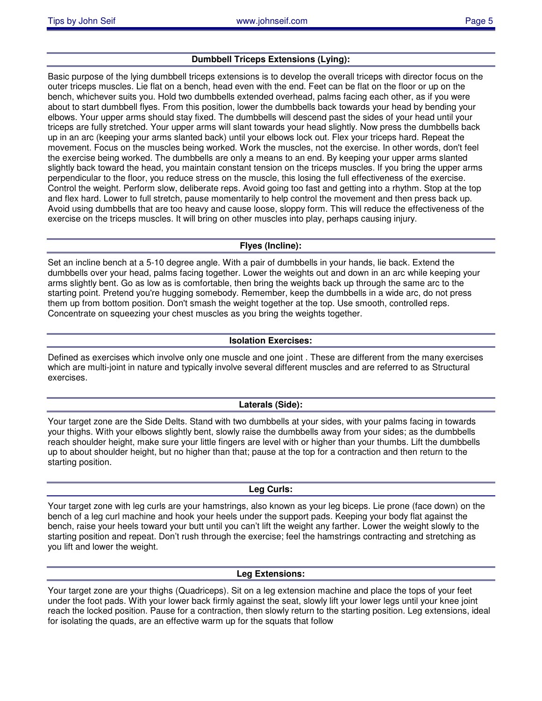# **Dumbbell Triceps Extensions (Lying):**

Basic purpose of the lying dumbbell triceps extensions is to develop the overall triceps with director focus on the outer triceps muscles. Lie flat on a bench, head even with the end. Feet can be flat on the floor or up on the bench, whichever suits you. Hold two dumbbells extended overhead, palms facing each other, as if you were about to start dumbbell flyes. From this position, lower the dumbbells back towards your head by bending your elbows. Your upper arms should stay fixed. The dumbbells will descend past the sides of your head until your triceps are fully stretched. Your upper arms will slant towards your head slightly. Now press the dumbbells back up in an arc (keeping your arms slanted back) until your elbows lock out. Flex your triceps hard. Repeat the movement. Focus on the muscles being worked. Work the muscles, not the exercise. In other words, don't feel the exercise being worked. The dumbbells are only a means to an end. By keeping your upper arms slanted slightly back toward the head, you maintain constant tension on the triceps muscles. If you bring the upper arms perpendicular to the floor, you reduce stress on the muscle, this losing the full effectiveness of the exercise. Control the weight. Perform slow, deliberate reps. Avoid going too fast and getting into a rhythm. Stop at the top and flex hard. Lower to full stretch, pause momentarily to help control the movement and then press back up. Avoid using dumbbells that are too heavy and cause loose, sloppy form. This will reduce the effectiveness of the exercise on the triceps muscles. It will bring on other muscles into play, perhaps causing injury.

### **Flyes (Incline):**

Set an incline bench at a 5-10 degree angle. With a pair of dumbbells in your hands, lie back. Extend the dumbbells over your head, palms facing together. Lower the weights out and down in an arc while keeping your arms slightly bent. Go as low as is comfortable, then bring the weights back up through the same arc to the starting point. Pretend you're hugging somebody. Remember, keep the dumbbells in a wide arc, do not press them up from bottom position. Don't smash the weight together at the top. Use smooth, controlled reps. Concentrate on squeezing your chest muscles as you bring the weights together.

# **Isolation Exercises:**

Defined as exercises which involve only one muscle and one joint . These are different from the many exercises which are multi-joint in nature and typically involve several different muscles and are referred to as Structural exercises.

# **Laterals (Side):**

Your target zone are the Side Delts. Stand with two dumbbells at your sides, with your palms facing in towards your thighs. With your elbows slightly bent, slowly raise the dumbbells away from your sides; as the dumbbells reach shoulder height, make sure your little fingers are level with or higher than your thumbs. Lift the dumbbells up to about shoulder height, but no higher than that; pause at the top for a contraction and then return to the starting position.

#### **Leg Curls:**

Your target zone with leg curls are your hamstrings, also known as your leg biceps. Lie prone (face down) on the bench of a leg curl machine and hook your heels under the support pads. Keeping your body flat against the bench, raise your heels toward your butt until you can't lift the weight any farther. Lower the weight slowly to the starting position and repeat. Don't rush through the exercise; feel the hamstrings contracting and stretching as you lift and lower the weight.

#### **Leg Extensions:**

Your target zone are your thighs (Quadriceps). Sit on a leg extension machine and place the tops of your feet under the foot pads. With your lower back firmly against the seat, slowly lift your lower legs until your knee joint reach the locked position. Pause for a contraction, then slowly return to the starting position. Leg extensions, ideal for isolating the quads, are an effective warm up for the squats that follow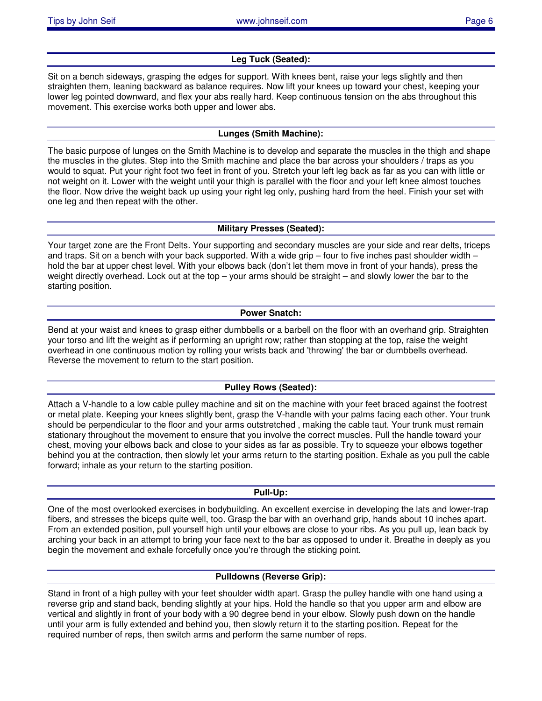# **Leg Tuck (Seated):**

Sit on a bench sideways, grasping the edges for support. With knees bent, raise your legs slightly and then straighten them, leaning backward as balance requires. Now lift your knees up toward your chest, keeping your lower leg pointed downward, and flex your abs really hard. Keep continuous tension on the abs throughout this movement. This exercise works both upper and lower abs.

# **Lunges (Smith Machine):**

The basic purpose of lunges on the Smith Machine is to develop and separate the muscles in the thigh and shape the muscles in the glutes. Step into the Smith machine and place the bar across your shoulders / traps as you would to squat. Put your right foot two feet in front of you. Stretch your left leg back as far as you can with little or not weight on it. Lower with the weight until your thigh is parallel with the floor and your left knee almost touches the floor. Now drive the weight back up using your right leg only, pushing hard from the heel. Finish your set with one leg and then repeat with the other.

# **Military Presses (Seated):**

Your target zone are the Front Delts. Your supporting and secondary muscles are your side and rear delts, triceps and traps. Sit on a bench with your back supported. With a wide grip – four to five inches past shoulder width – hold the bar at upper chest level. With your elbows back (don't let them move in front of your hands), press the weight directly overhead. Lock out at the top – your arms should be straight – and slowly lower the bar to the starting position.

# **Power Snatch:**

Bend at your waist and knees to grasp either dumbbells or a barbell on the floor with an overhand grip. Straighten your torso and lift the weight as if performing an upright row; rather than stopping at the top, raise the weight overhead in one continuous motion by rolling your wrists back and 'throwing' the bar or dumbbells overhead. Reverse the movement to return to the start position.

# **Pulley Rows (Seated):**

Attach a V-handle to a low cable pulley machine and sit on the machine with your feet braced against the footrest or metal plate. Keeping your knees slightly bent, grasp the V-handle with your palms facing each other. Your trunk should be perpendicular to the floor and your arms outstretched , making the cable taut. Your trunk must remain stationary throughout the movement to ensure that you involve the correct muscles. Pull the handle toward your chest, moving your elbows back and close to your sides as far as possible. Try to squeeze your elbows together behind you at the contraction, then slowly let your arms return to the starting position. Exhale as you pull the cable forward; inhale as your return to the starting position.

#### **Pull-Up:**

One of the most overlooked exercises in bodybuilding. An excellent exercise in developing the lats and lower-trap fibers, and stresses the biceps quite well, too. Grasp the bar with an overhand grip, hands about 10 inches apart. From an extended position, pull yourself high until your elbows are close to your ribs. As you pull up, lean back by arching your back in an attempt to bring your face next to the bar as opposed to under it. Breathe in deeply as you begin the movement and exhale forcefully once you're through the sticking point.

# **Pulldowns (Reverse Grip):**

Stand in front of a high pulley with your feet shoulder width apart. Grasp the pulley handle with one hand using a reverse grip and stand back, bending slightly at your hips. Hold the handle so that you upper arm and elbow are vertical and slightly in front of your body with a 90 degree bend in your elbow. Slowly push down on the handle until your arm is fully extended and behind you, then slowly return it to the starting position. Repeat for the required number of reps, then switch arms and perform the same number of reps.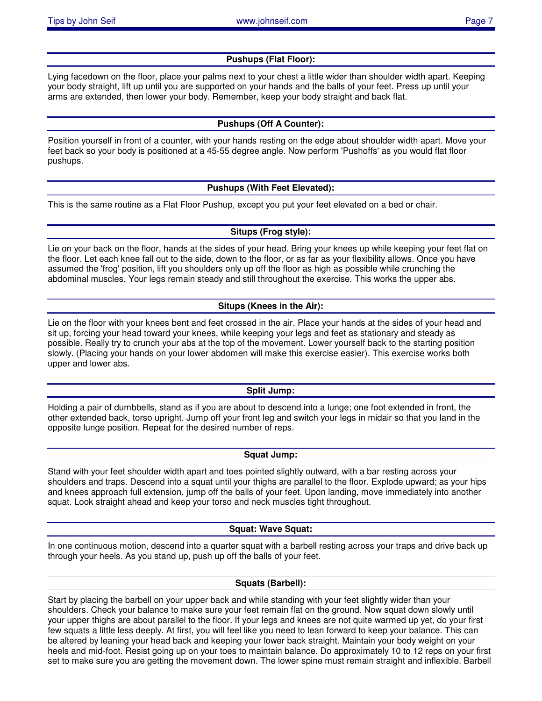# **Pushups (Flat Floor):**

Lying facedown on the floor, place your palms next to your chest a little wider than shoulder width apart. Keeping your body straight, lift up until you are supported on your hands and the balls of your feet. Press up until your arms are extended, then lower your body. Remember, keep your body straight and back flat.

# **Pushups (Off A Counter):**

Position yourself in front of a counter, with your hands resting on the edge about shoulder width apart. Move your feet back so your body is positioned at a 45-55 degree angle. Now perform 'Pushoffs' as you would flat floor pushups.

# **Pushups (With Feet Elevated):**

This is the same routine as a Flat Floor Pushup, except you put your feet elevated on a bed or chair.

# **Situps (Frog style):**

Lie on your back on the floor, hands at the sides of your head. Bring your knees up while keeping your feet flat on the floor. Let each knee fall out to the side, down to the floor, or as far as your flexibility allows. Once you have assumed the 'frog' position, lift you shoulders only up off the floor as high as possible while crunching the abdominal muscles. Your legs remain steady and still throughout the exercise. This works the upper abs.

# **Situps (Knees in the Air):**

Lie on the floor with your knees bent and feet crossed in the air. Place your hands at the sides of your head and sit up, forcing your head toward your knees, while keeping your legs and feet as stationary and steady as possible. Really try to crunch your abs at the top of the movement. Lower yourself back to the starting position slowly. (Placing your hands on your lower abdomen will make this exercise easier). This exercise works both upper and lower abs.

# **Split Jump:**

Holding a pair of dumbbells, stand as if you are about to descend into a lunge; one foot extended in front, the other extended back, torso upright. Jump off your front leg and switch your legs in midair so that you land in the opposite lunge position. Repeat for the desired number of reps.

# **Squat Jump:**

Stand with your feet shoulder width apart and toes pointed slightly outward, with a bar resting across your shoulders and traps. Descend into a squat until your thighs are parallel to the floor. Explode upward; as your hips and knees approach full extension, jump off the balls of your feet. Upon landing, move immediately into another squat. Look straight ahead and keep your torso and neck muscles tight throughout.

# **Squat: Wave Squat:**

In one continuous motion, descend into a quarter squat with a barbell resting across your traps and drive back up through your heels. As you stand up, push up off the balls of your feet.

# **Squats (Barbell):**

Start by placing the barbell on your upper back and while standing with your feet slightly wider than your shoulders. Check your balance to make sure your feet remain flat on the ground. Now squat down slowly until your upper thighs are about parallel to the floor. If your legs and knees are not quite warmed up yet, do your first few squats a little less deeply. At first, you will feel like you need to lean forward to keep your balance. This can be altered by leaning your head back and keeping your lower back straight. Maintain your body weight on your heels and mid-foot. Resist going up on your toes to maintain balance. Do approximately 10 to 12 reps on your first set to make sure you are getting the movement down. The lower spine must remain straight and inflexible. Barbell